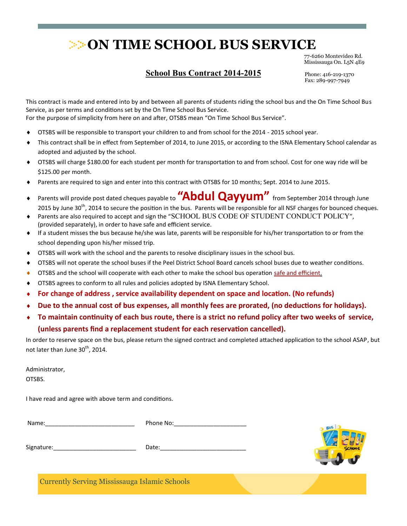77-6260 Montevideo Rd. Mississauga On. L5N 4E9

#### **School Bus Contract 2015-201**

Phone: 416-219-1370 Fax: 289-997-7949

This contract is made and entered into by and between all parents of students riding the school bus and the On Time School Bus Service, as per terms and conditions set by the On Time School Bus Service.

For the purpose of simplicity from here on and after, OTSBS mean "On Time School Bus Service".

- OTSBS will be responsible to transport your children to and from school for the 2015 201 school year.
- This contract shall be in effect from September of 2015, to June 201 pr according to the ISNA Elementary School calendar as adopted and adjusted by the school.
- OTSBS will charge \$180.00 for each student per month for transportation to and from school. Cost for one way ride will be \$120.00 per month.
- Parents are required to sign and enter into this contract with OTSBS for 10 months; Sept. 2015 to June 201.
- Parents will provide post dated cheques payable to **"Abdul Qayyum"** from September 2015 through June 201 by une 30<sup>th</sup>, 2015 to secure the position in the bus. Parents will be responsible for all NSF charges for bounced cheques.
- Parents are also required to accept and sign the "SCHOOL BUS CODE OF STUDENT CONDUCT POLICY", (provided separately), in order to have safe and efficient service.
- If a student misses the bus because he/she was late, parents will be responsible for his/her transportation to or from the school depending upon his/her missed trip.
- OTSBS will work with the school and the parents to resolve disciplinary issues in the school bus.
- OTSBS will not operate the school buses if the Peel District School Board cancels school buses due to weather conditions.
- OTSBS and the school will cooperate with each other to make the school bus operation safe and efficient.
- OTSBS agrees to conform to all rules and policies adopted by ISNA Elementary School.
- **For change of address , service availability dependent on space and location. (No refunds)**
- **Due to the annual cost of bus expenses, all monthly fees are prorated, (no deductions for holidays).**
- **To maintain continuity of each bus route, there is a strict no refund policy after two weeks of service, (unless parents find a replacement student for each reservation cancelled).**

In order to reserve space on the bus, please return the signed contract and completed attached application to the school ASAP, but not later than June  $30<sup>th</sup>$ , 2015.

Administrator,

OTSBS.

I have read and agree with above term and conditions.

| Name:      | Phone No: |
|------------|-----------|
|            |           |
| Signature: | Date:     |



Currently Serving Mississauga Islamic Schools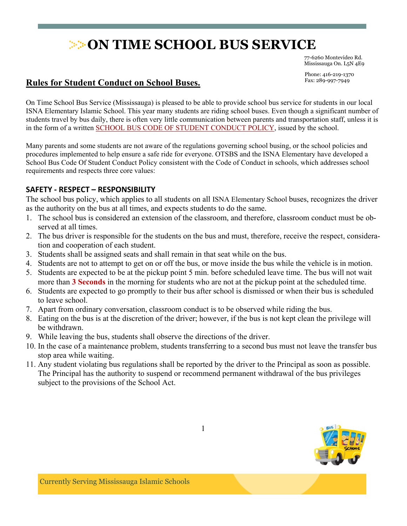77-6260 Montevideo Rd. Mississauga On. L5N 4E9

Phone: 416-219-1370 Fax: 289-997-7949

### **Rules for Student Conduct on School Buses.**

On Time School Bus Service (Mississauga) is pleased to be able to provide school bus service for students in our local ISNA Elementary Islamic School. This year many students are riding school buses. Even though a significant number of students travel by bus daily, there is often very little communication between parents and transportation staff, unless it is in the form of a written SCHOOL BUS CODE OF STUDENT CONDUCT POLICY, issued by the school.

Many parents and some students are not aware of the regulations governing school busing, or the school policies and procedures implemented to help ensure a safe ride for everyone. OTSBS and the ISNA Elementary have developed a School Bus Code Of Student Conduct Policy consistent with the Code of Conduct in schools, which addresses school requirements and respects three core values:

#### **SAFETY - RESPECT – RESPONSIBILITY**

The school bus policy, which applies to all students on all ISNA Elementary School buses, recognizes the driver as the authority on the bus at all times, and expects students to do the same.

- 1. The school bus is considered an extension of the classroom, and therefore, classroom conduct must be observed at all times.
- 2. The bus driver is responsible for the students on the bus and must, therefore, receive the respect, consideration and cooperation of each student.
- 3. Students shall be assigned seats and shall remain in that seat while on the bus.
- 4. Students are not to attempt to get on or off the bus, or move inside the bus while the vehicle is in motion.
- 5. Students are expected to be at the pickup point 5 min. before scheduled leave time. The bus will not wait more than **3 Seconds** in the morning for students who are not at the pickup point at the scheduled time.
- 6. Students are expected to go promptly to their bus after school is dismissed or when their bus is scheduled to leave school.
- 7. Apart from ordinary conversation, classroom conduct is to be observed while riding the bus.
- 8. Eating on the bus is at the discretion of the driver; however, if the bus is not kept clean the privilege will be withdrawn.
- 9. While leaving the bus, students shall observe the directions of the driver.
- 10. In the case of a maintenance problem, students transferring to a second bus must not leave the transfer bus stop area while waiting.
- 11. Any student violating bus regulations shall be reported by the driver to the Principal as soon as possible. The Principal has the authority to suspend or recommend permanent withdrawal of the bus privileges subject to the provisions of the School Act.

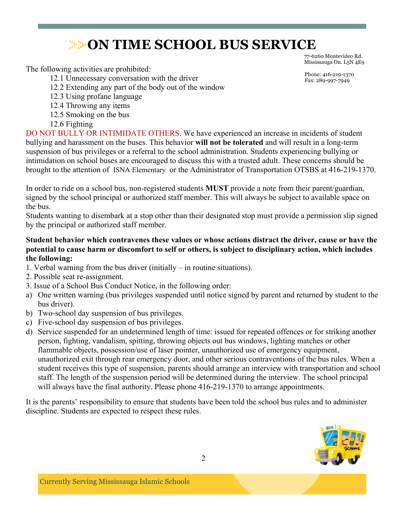The following activities are prohibited:

12.1 Unnecessary conversation with the driver

- 12.2 Extending any part of the body out of the window
- 12.3 Using profane language
- 12.4 Throwing any items
- 12.5 Smoking on the bus
- 12.6 Fighting

DO NOT BULLY OR INTIMIDATE OTHERS. We have experienced an increase in incidents of student bullying and harassment on the buses. This behavior **will not be tolerated** and will result in a long-term suspension of bus privileges or a referral to the school administration. Students experiencing bullying or intimidation on school buses are encouraged to discuss this with a trusted adult. These concerns should be brought to the attention of ISNA Elementary or the Administrator of Transportation OTSBS at 416-219-1370.

In order to ride on a school bus, non-registered students **MUST** provide a note from their parent/guardian, signed by the school principal or authorized staff member. This will always be subject to available space on the bus.

Students wanting to disembark at a stop other than their designated stop must provide a permission slip signed by the principal or authorized staff member.

#### **Student behavior which contravenes these values or whose actions distract the driver, cause or have the potential to cause harm or discomfort to self or others, is subject to disciplinary action, which includes the following:**

- 1. Verbal warning from the bus driver (initially in routine situations).
- 2. Possible seat re-assignment.
- 3. Issue of a School Bus Conduct Notice, in the following order:
- a) One written warning (bus privileges suspended until notice signed by parent and returned by student to the bus driver).
- b) Two-school day suspension of bus privileges.
- c) Five-school day suspension of bus privileges.
- d) Service suspended for an undetermined length of time: issued for repeated offences or for striking another person, fighting, vandalism, spitting, throwing objects out bus windows, lighting matches or other flammable objects, possession/use of laser pointer, unauthorized use of emergency equipment, unauthorized exit through rear emergency door, and other serious contraventions of the bus rules. When a student receives this type of suspension, parents should arrange an interview with transportation and school staff. The length of the suspension period will be determined during the interview. The school principal will always have the final authority. Please phone 416-219-1370 to arrange appointments.

It is the parents' responsibility to ensure that students have been told the school bus rules and to administer discipline. Students are expected to respect these rules.



77-6260 Montevideo Rd. Mississauga On. L5N 4E9